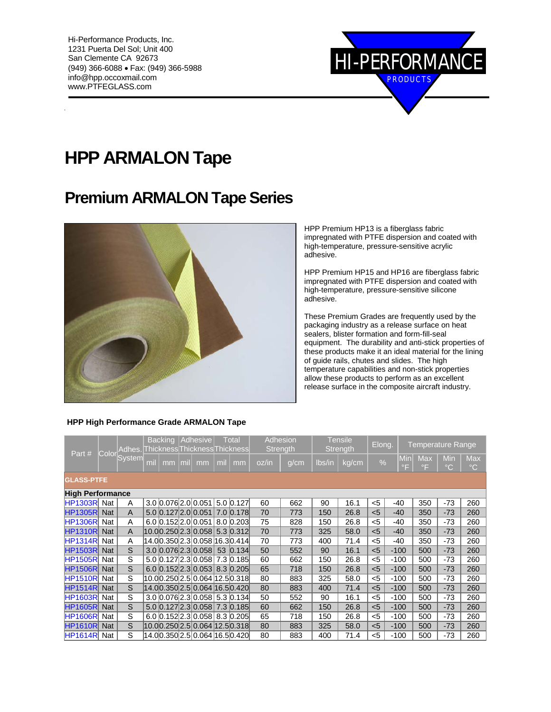

# **HPP ARMALON Tape**

## **Premium ARMALON Tape Series**



HPP Premium HP13 is a fiberglass fabric impregnated with PTFE dispersion and coated with high-temperature, pressure-sensitive acrylic adhesive.

HPP Premium HP15 and HP16 are fiberglass fabric impregnated with PTFE dispersion and coated with high-temperature, pressure-sensitive silicone adhesive.

These Premium Grades are frequently used by the packaging industry as a release surface on heat sealers, blister formation and form-fill-seal equipment. The durability and anti-stick properties of these products make it an ideal material for the lining of guide rails, chutes and slides. The high temperature capabilities and non-stick properties allow these products to perform as an excellent release surface in the composite aircraft industry.

#### Part  $\#$  Colo **System** Backing Adhesive Thickness Thickness Thickness **Total Adhesion Strength** Tensile<br>Strength Elong.  $\vert$  Temperature Range mil  $\mid$  mm  $\mid$  mil  $\mid$  mm  $\mid$  oz/in  $\mid$  g/cm  $\mid$  lbs/in  $\mid$  kg/cm  $\mid$  %  $\mid$   $\mid$   $\mid$   $\mid$   $\mid$   $\mid$ °F **Max** °F Min  $\rm ^{\circ}C$ Max °C **GLASS-PTFE High Performance** HP1303R Nat A 3.0 0.076 2.0 0.051 5.0 0.127 60 662 90 16.1 <5 -40 350 -73 260 HP1305R Nat A 5.0 0.127 2.0 0.051 7.0 0.178 70 773 150 26.8 <5 -40 350 -73 260 HP1306R| Nat | A |6.0 |0.152|2.0||0.051||8.0 |0.203| 75 | 828 | 150 | 26.8 | <5 | -40 | 350 | -73 | 260 HP1310R| Nat | A |10.0|0.250|2.3|0.058|5.3 |0.312| 70 | 773 | 325 | 58.0 | <5 | -40 | 350 | -73 | 260 HP1314R Nat A 14.00.350 2.3 0.058 16.30.414 70 773 400 71.4 <5 -40 350 -73 260 HP1503R| Nat | S | 3.0 |0.076|2.3| 0.058 | 53 |0.134| 50 | 552 | 90 | 16.1 | <5 | -100 | 500 | -73 | 260 HP1505R| Nat | S | 5.0 |0.127|2.3|0.058| 7.3 |0.185| 60 | 662 | 150 | 26.8 | <5 | -100 | 500 | -73 | 260 HP1506R Nat S 6.0 0.152 2.3 0.053 8.3 0.205 65 718 150 26.8 <5 -100 500 -73 260 HP1510R| Nat | S | 10.0|0.250|2.5| 0.064 |12.5|0.318| 80 | 883 | 325 | 58.0 | <5 | -100 | 500 | -73 | 260<br>HP1514R| Nat | S | 14.0|0.350|2.5| 0.064 |16.5|0.420| 80 | 883 | 400 | 71.4 | <5 | -100 | 500 | -73 | 260 Nat S 14.00.350 2.5 0.064 16.5 0.420 80 883 400 71.4 <5 -100 500 -73 260<br>Nat S 3.0 0.076 2.3 0.058 5.3 0.134 50 552 90 16.1 <5 -100 500 -73 260 HP1603R Nat S 3.0 0.076 2.3 0.058 5.3 0.134 50 552 90 16.1 <5 -100 500 -73 260 HP1605R Nat S 5.0 0.127 2.3 0.058 7.3 0.185 60 662 150 26.8 <5 -100 500<br>HP1606R Nat S 6.0 0.152 2.3 0.058 8.3 0.205 65 718 150 26.8 <5 -100 500 HP1606R| Nat │ S │ 6.0 <mark>0.152</mark>|2.3 |0.058 |8.3 |0.205 │ 65 │ 718 │ 150 │ 26.8 │ <5 │ -100 │ 500 │ -73 │ 260<br>HP1610R│ Nat │ S │ 10.0<mark>0.250</mark>|2.5 |0.064 |12.5|0.318 │ 80 │ 883 │ 325 │ 58.0 │ <5 │ -100 │ 500 │ -73 │ 260 Nat S  $|10.0|0.250|2.5|0.064|12.5|0.318$  80 883 325 58.0 <5 -100 500 -73 260<br>Nat S  $|14.00.350|2.5|0.064|16.5|0.420$  80 883 400 71.4 <5 -100 500 -73 260 HP1614R Nat S 14.00.350 2.5 0.064 16.50.420 80 883 400 71.4 <5 -100 500 -73 260

#### **HPP High Performance Grade ARMALON Tape**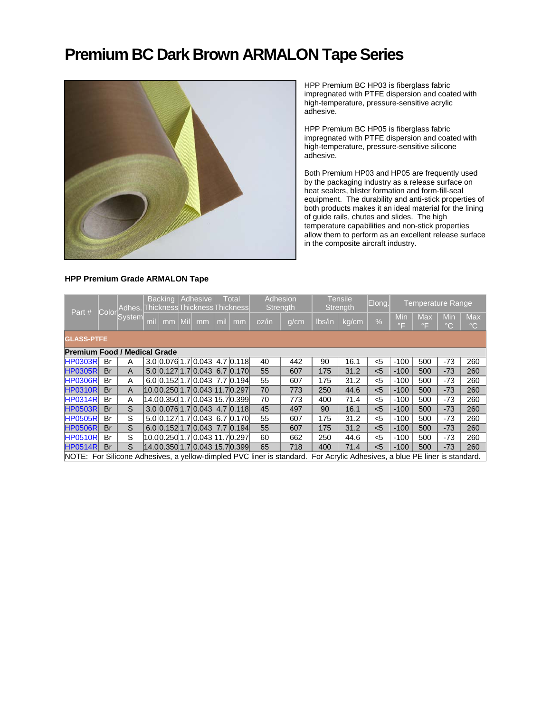## **Premium BC Dark Brown ARMALON Tape Series**



HPP Premium BC HP03 is fiberglass fabric impregnated with PTFE dispersion and coated with high-temperature, pressure-sensitive acrylic adhesive.

HPP Premium BC HP05 is fiberglass fabric impregnated with PTFE dispersion and coated with high-temperature, pressure-sensitive silicone adhesive.

Both Premium HP03 and HP05 are frequently used by the packaging industry as a release surface on heat sealers, blister formation and form-fill-seal equipment. The durability and anti-stick properties of both products makes it an ideal material for the lining of guide rails, chutes and slides. The high temperature capabilities and non-stick properties allow them to perform as an excellent release surface in the composite aircraft industry.

#### **HPP Premium Grade ARMALON Tape**

| Part #                                                                                                                    |                                                                        | Color System |     | <b>Backing</b> |                     | Adhesive                         | <b>Total</b><br>Adhes. ThicknessThicknessThickness |    | Adhesion<br><b>Strength</b> |      | Tensile<br>Strength |       | Elong.        | <b>Temperature Range</b> |                         |                            |                               |
|---------------------------------------------------------------------------------------------------------------------------|------------------------------------------------------------------------|--------------|-----|----------------|---------------------|----------------------------------|----------------------------------------------------|----|-----------------------------|------|---------------------|-------|---------------|--------------------------|-------------------------|----------------------------|-------------------------------|
|                                                                                                                           |                                                                        |              | mil | mm             | $\vert$ Mil $\vert$ | mm                               | mil                                                | mm | oz/in                       | q/cm | Ibs/in              | kg/cm | $\frac{0}{0}$ | Min<br>$\circ$ F         | <b>Max</b><br>$\circ$ F | <b>Min</b><br>$^{\circ}$ C | <b>Max</b><br>$\rm ^{\circ}C$ |
|                                                                                                                           | <b>GLASS-PTFE</b>                                                      |              |     |                |                     |                                  |                                                    |    |                             |      |                     |       |               |                          |                         |                            |                               |
|                                                                                                                           | <b>Premium Food / Medical Grade</b><br>$3.0$ 0.076 1.7 0.043 4.7 0.118 |              |     |                |                     |                                  |                                                    |    |                             |      |                     |       |               |                          |                         |                            |                               |
| <b>HP0303R</b>                                                                                                            | Br                                                                     | A            |     |                |                     |                                  |                                                    |    | 40                          | 442  | 90                  | 16.1  | $<$ 5         | $-100$                   | 500                     | $-73$                      | 260                           |
| <b>HP0305R</b>                                                                                                            | <b>Br</b>                                                              | A            |     |                |                     | $5.0$ 0.127 1.7 0.043 6.7 0.170  |                                                    |    | 55                          | 607  | 175                 | 31.2  | $5$           | $-100$                   | 500                     | $-73$                      | 260                           |
| <b>HP0306R</b>                                                                                                            | Br                                                                     | A            |     |                |                     | 6.0 0.152 1.7 0.043 7.7 0.194    |                                                    |    | 55                          | 607  | 175                 | 31.2  | $5$           | $-100$                   | 500                     | -73                        | 260                           |
| <b>HP0310R</b>                                                                                                            | <b>Br</b>                                                              | A            |     |                |                     | 10.0 0.250 1.7 0.043 11.7 0.297  |                                                    |    | 70                          | 773  | 250                 | 44.6  | < 5           | $-100$                   | 500                     | $-73$                      | 260                           |
| <b>HP0314R</b>                                                                                                            | Br                                                                     | A            |     |                |                     | 14.00.350 1.7 0.043 15.7 0.399 1 |                                                    |    | 70                          | 773  | 400                 | 71.4  | $<$ 5         | $-100$                   | 500                     | -73                        | 260                           |
| <b>HP0503R</b>                                                                                                            | <b>Br</b>                                                              | S            |     |                |                     | $3.0$ 0.076 1.7 0.043 4.7 0.118  |                                                    |    | 45                          | 497  | 90                  | 16.1  | < 5           | $-100$                   | 500                     | $-73$                      | 260                           |
| <b>HP0505R</b>                                                                                                            | Br                                                                     | S            |     |                |                     | 5.0 0.127 1.7 0.043 6.7 0.170    |                                                    |    | 55                          | 607  | 175                 | 31.2  | $5$           | $-100$                   | 500                     | -73                        | 260                           |
| <b>HP0506RI</b>                                                                                                           | <b>Br</b>                                                              | S            |     |                |                     | 6.0 0.152 1.7 0.043 7.7 0.194    |                                                    |    | 55                          | 607  | 175                 | 31.2  | < 5           | $-100$                   | 500                     | $-73$                      | 260                           |
| <b>HP0510R</b>                                                                                                            | Br                                                                     | S            |     |                |                     | 10.00.2501.710.04311.70.2971     |                                                    |    | 60                          | 662  | 250                 | 44.6  | $<$ 5         | $-100$                   | 500                     | -73                        | 260                           |
| <b>HP0514R</b>                                                                                                            | <b>Br</b>                                                              | S            |     |                |                     | 14.0 0.350 1.7 0.043 15.7 0.399  |                                                    |    | 65                          | 718  | 400                 | 71.4  | $5$           | $-100$                   | 500                     | $-73$                      | 260                           |
| NOTE: For Silicone Adhesives, a vellow-dimpled PVC liner is standard. For Acrylic Adhesives, a blue PE liner is standard. |                                                                        |              |     |                |                     |                                  |                                                    |    |                             |      |                     |       |               |                          |                         |                            |                               |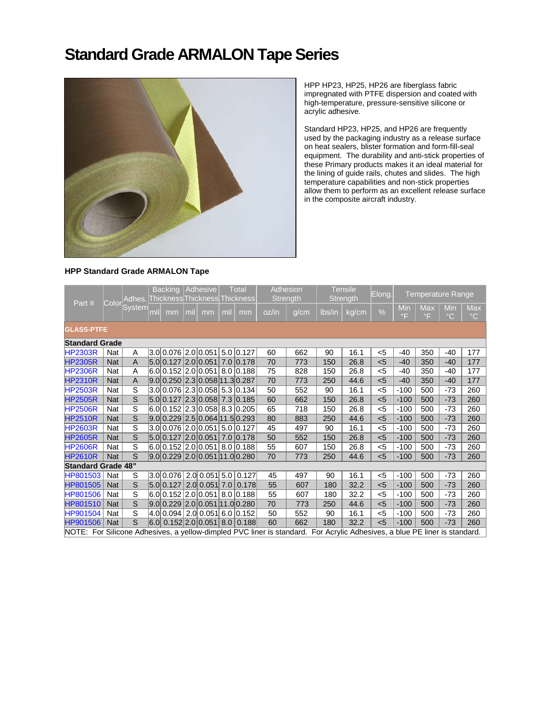### **Standard Grade ARMALON Tape Series**



HPP HP23, HP25, HP26 are fiberglass fabric impregnated with PTFE dispersion and coated with high-temperature, pressure-sensitive silicone or acrylic adhesive.

Standard HP23, HP25, and HP26 are frequently used by the packaging industry as a release surface on heat sealers, blister formation and form-fill-seal equipment. The durability and anti-stick properties of these Primary products makes it an ideal material for the lining of guide rails, chutes and slides. The high temperature capabilities and non-stick properties allow them to perform as an excellent release surface in the composite aircraft industry.

### **HPP Standard Grade ARMALON Tape**

| Part#                                                                                                                     |            |                         | Backing   Adhesive<br>Adhes. Thickness Thickness Thickness |                                |     |    | <b>Total</b> | Adhesion<br><b>Strength</b>                   |       | <b>Tensile</b><br>Strength |        | Elong. | <b>Temperature Range</b> |                           |                                  |                     |                            |
|---------------------------------------------------------------------------------------------------------------------------|------------|-------------------------|------------------------------------------------------------|--------------------------------|-----|----|--------------|-----------------------------------------------|-------|----------------------------|--------|--------|--------------------------|---------------------------|----------------------------------|---------------------|----------------------------|
|                                                                                                                           |            | Color System            | mil                                                        | mm                             | mil | mm | mil          | mm                                            | oz/in | g/cm                       | lbs/in | kg/cm  | $\%$                     | Min<br>$\circ \mathsf{F}$ | <b>Max</b><br>$\circ \mathsf{F}$ | Min<br>$^{\circ}$ C | <b>Max</b><br>$^{\circ}$ C |
| <b>GLASS-PTFE</b>                                                                                                         |            |                         |                                                            |                                |     |    |              |                                               |       |                            |        |        |                          |                           |                                  |                     |                            |
| <b>Standard Grade</b>                                                                                                     |            |                         |                                                            |                                |     |    |              |                                               |       |                            |        |        |                          |                           |                                  |                     |                            |
| <b>HP2303R</b>                                                                                                            | Nat        | A                       |                                                            |                                |     |    |              | 3.0 0.076 2.0 0.051 5.0 0.127                 | 60    | 662                        | 90     | 16.1   | $5$                      | $-40$                     | 350                              | $-40$               | 177                        |
| <b>HP2305R</b>                                                                                                            | <b>Nat</b> | $\overline{A}$          |                                                            |                                |     |    |              | 5.0 0.127 2.0 0.051 7.0 0.178                 | 70    | 773                        | 150    | 26.8   | $5$                      | $-40$                     | 350                              | $-40$               | 177                        |
| <b>HP2306R</b>                                                                                                            | Nat        | Α                       |                                                            |                                |     |    |              | 6.0 0.152 2.0 0.051 8.0 0.188                 | 75    | 828                        | 150    | 26.8   | $<$ 5                    | $-40$                     | 350                              | $-40$               | 177                        |
| <b>HP2310R</b>                                                                                                            | <b>Nat</b> | $\overline{A}$          |                                                            | 9.0 0.250 2.3 0.058 11.3 0.287 |     |    |              |                                               | 70    | 773                        | 250    | 44.6   | $5$                      | $-40$                     | 350                              | $-40$               | 177                        |
| <b>HP2503R</b>                                                                                                            | Nat        | S                       |                                                            |                                |     |    |              | 3.0 0.076 2.3 0.058 5.3 0.134                 | 50    | 552                        | 90     | 16.1   | $5$                      | $-100$                    | 500                              | $-73$               | 260                        |
| <b>HP2505R</b>                                                                                                            | <b>Nat</b> | $\overline{s}$          |                                                            |                                |     |    |              | 5.0 0.127 2.3 0.058 7.3 0.185                 | 60    | 662                        | 150    | 26.8   | $5$                      | $-100$                    | 500                              | $-73$               | 260                        |
| <b>HP2506R</b>                                                                                                            | Nat        | $\overline{s}$          |                                                            |                                |     |    |              | 6.0 0.152 2.3 0.058 8.3 0.205                 | 65    | 718                        | 150    | 26.8   | $<$ 5                    | $-100$                    | 500                              | $-73$               | 260                        |
| <b>HP2510R</b>                                                                                                            | <b>Nat</b> | $\overline{s}$          |                                                            |                                |     |    |              | 9.0 0.229 2.5 0.064 11.5 0.293                | 80    | 883                        | 250    | 44.6   | $5$                      | $-100$                    | 500                              | $-73$               | 260                        |
| <b>HP2603R</b>                                                                                                            | Nat        | $\overline{s}$          |                                                            |                                |     |    |              | 3.0 0.076 2.0 0.051 5.0 0.127                 | 45    | 497                        | 90     | 16.1   | $5$                      | $-100$                    | 500                              | $-73$               | 260                        |
| <b>HP2605R</b>                                                                                                            | <b>Nat</b> | S                       |                                                            |                                |     |    |              | 5.0 0.127 2.0 0.051 7.0 0.178                 | 50    | 552                        | 150    | 26.8   | $5$                      | $-100$                    | 500                              | $-73$               | 260                        |
| <b>HP2606R</b>                                                                                                            | Nat        | S                       |                                                            |                                |     |    |              | 6.0 0.152 2.0 0.051 8.0 0.188                 | 55    | 607                        | 150    | 26.8   | $<$ 5                    | $-100$                    | 500                              | $-73$               | 260                        |
| <b>HP2610R</b>                                                                                                            | Nat        | S                       |                                                            |                                |     |    |              | 9.0 0.229 2.0 0.051 11.0 0.280                | 70    | 773                        | 250    | 44.6   | $5$                      | $-100$                    | 500                              | $-73$               | 260                        |
| <b>Standard Grade 48"</b>                                                                                                 |            |                         |                                                            |                                |     |    |              |                                               |       |                            |        |        |                          |                           |                                  |                     |                            |
| HP801503                                                                                                                  | Nat        | S                       |                                                            |                                |     |    |              | $ 3.0 0.076 $ $2.0 $ $0.051 $ $5.0 $ $0.127 $ | 45    | 497                        | 90     | 16.1   | $5$                      | $-100$                    | 500                              | $-73$               | 260                        |
| HP801505                                                                                                                  | <b>Nat</b> | $\overline{\mathbf{s}}$ |                                                            |                                |     |    |              | $5.0 \times 127$ 2.0 0.051 7.0 0.178          | 55    | 607                        | 180    | 32.2   | $5$                      | $-100$                    | 500                              | $-73$               | 260                        |
| HP801506                                                                                                                  | Nat        | $\overline{s}$          |                                                            |                                |     |    |              | 6.0 0.152 2.0 0.051 8.0 0.188                 | 55    | 607                        | 180    | 32.2   | $5$                      | $-100$                    | 500                              | -73                 | 260                        |
| HP801510                                                                                                                  | <b>Nat</b> | $\overline{s}$          |                                                            |                                |     |    |              | 9.0 0.229 2.0 0.051 11.0 0.280                | 70    | 773                        | 250    | 44.6   | $5$                      | $-100$                    | 500                              | $-73$               | 260                        |
| HP901504                                                                                                                  | Nat        | S                       |                                                            |                                |     |    |              | 4.0 0.094 2.0 0.051 6.0 0.152                 | 50    | 552                        | 90     | 16.1   | $5$                      | $-100$                    | 500                              | $-73$               | 260                        |
| HP901506                                                                                                                  | <b>Nat</b> | $\overline{s}$          |                                                            |                                |     |    |              | 6.0 0.152 2.0 0.051 8.0 0.188                 | 60    | 662                        | 180    | 32.2   | $5$                      | $-100$                    | 500                              | $-73$               | 260                        |
| NOTE: For Silicone Adhesives, a yellow-dimpled PVC liner is standard. For Acrylic Adhesives, a blue PE liner is standard. |            |                         |                                                            |                                |     |    |              |                                               |       |                            |        |        |                          |                           |                                  |                     |                            |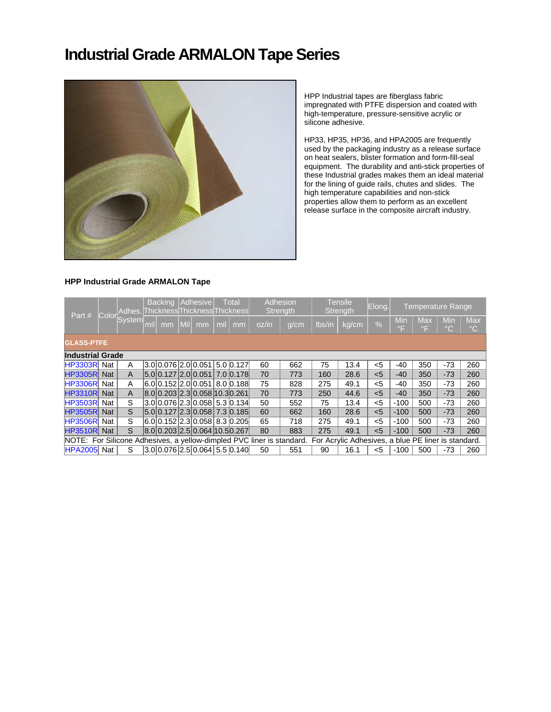### **Industrial Grade ARMALON Tape Series**



HPP Industrial tapes are fiberglass fabric impregnated with PTFE dispersion and coated with high-temperature, pressure-sensitive acrylic or silicone adhesive.

HP33, HP35, HP36, and HPA2005 are frequently used by the packaging industry as a release surface on heat sealers, blister formation and form-fill-seal equipment. The durability and anti-stick properties of these Industrial grades makes them an ideal material for the lining of guide rails, chutes and slides. The high temperature capabilities and non-stick properties allow them to perform as an excellent release surface in the composite aircraft industry.

#### **HPP Industrial Grade ARMALON Tape**

| Part #                                                                |                   | Color System | <b>Backing</b><br>Adhesive<br><b>Total</b><br>Adhes. Thickness Thickness Thickness |    |            |                                        |     |    |       | Adhesion<br><b>Tensile</b><br>Strength<br><b>Strength</b> |                                                     |       | Elong.        | <b>Temperature Range</b> |                         |                     |                               |
|-----------------------------------------------------------------------|-------------------|--------------|------------------------------------------------------------------------------------|----|------------|----------------------------------------|-----|----|-------|-----------------------------------------------------------|-----------------------------------------------------|-------|---------------|--------------------------|-------------------------|---------------------|-------------------------------|
|                                                                       |                   |              | mil                                                                                | mm | <b>Mil</b> | mm                                     | mil | mm | oz/in | q/cm                                                      | Ibs/in                                              | kg/cm | $\frac{9}{6}$ | Min<br>$\circ$ F         | <b>Max</b><br>$\circ$ F | Min<br>$^{\circ}$ C | <b>Max</b><br>$\rm ^{\circ}C$ |
|                                                                       | <b>GLASS-PTFE</b> |              |                                                                                    |    |            |                                        |     |    |       |                                                           |                                                     |       |               |                          |                         |                     |                               |
| <b>Industrial Grade</b>                                               |                   |              |                                                                                    |    |            |                                        |     |    |       |                                                           |                                                     |       |               |                          |                         |                     |                               |
| <b>HP3303RI</b>                                                       | Nat               | A            |                                                                                    |    |            |                                        |     |    | 60    | 662                                                       | 75                                                  | 13.4  | $<$ 5         | -40                      | 350                     | $-73$               | 260                           |
| <b>HP3305R</b>                                                        | <b>Nat</b>        | A            |                                                                                    |    |            | 5.0 0.127 2.0 0.051 7.0 0.178          |     |    | 70    | 773                                                       | 160                                                 | 28.6  | < 5           | $-40$                    | 350                     | $-73$               | 260                           |
| <b>HP3306R</b>                                                        | Nat               | A            |                                                                                    |    |            | 6.0  0.152   2.0   0.051   8.0   0.188 |     |    | 75    | 828                                                       | 275                                                 | 49.1  | $<$ 5         | -40                      | 350                     | $-73$               | 260                           |
| <b>HP3310R</b>                                                        | <b>Nat</b>        | A            |                                                                                    |    |            | 8.0 0.203 2.3 0.058 10.3 0.261         |     |    | 70    | 773                                                       | 250                                                 | 44.6  | < 5           | $-40$                    | 350                     | $-73$               | 260                           |
| <b>HP3503R</b>                                                        | Nat               | S            |                                                                                    |    |            | 3.0 0.076 2.3 0.058 5.3 0.134          |     |    | 50    | 552                                                       | 75                                                  | 13.4  | $<$ 5         | $-100$                   | 500                     | $-73$               | 260                           |
| <b>HP3505R</b>                                                        | <b>Nat</b>        | S            |                                                                                    |    |            | 5.0 0.127 2.3 0.058 7.3 0.185          |     |    | 60    | 662                                                       | 160                                                 | 28.6  | < 5           | $-100$                   | 500                     | $-73$               | 260                           |
| <b>HP3506R</b>                                                        | Nat               | S            |                                                                                    |    |            | 6.0 0.152 2.3 0.058 8.3 0.205          |     |    | 65    | 718                                                       | 275                                                 | 49.1  | $5$           | $-100$                   | 500                     | $-73$               | 260                           |
| <b>HP3510R</b>                                                        | <b>Nat</b>        | S            |                                                                                    |    |            | 8.0 0.203 2.5 0.064 10.5 0.267         |     |    | 80    | 883                                                       | 275                                                 | 49.1  | < 5           | $-100$                   | 500                     | $-73$               | 260                           |
| NOTE: For Silicone Adhesives, a yellow-dimpled PVC liner is standard. |                   |              |                                                                                    |    |            |                                        |     |    |       |                                                           | For Acrylic Adhesives, a blue PE liner is standard. |       |               |                          |                         |                     |                               |
| HPA2005 Nat                                                           |                   | S            |                                                                                    |    |            | 3.0 0.076 2.5 0.064 5.5 0.140          |     |    | 50    | 551                                                       | 90                                                  | 16.1  | <5            | $-100$                   | 500                     | $-73$               | 260                           |